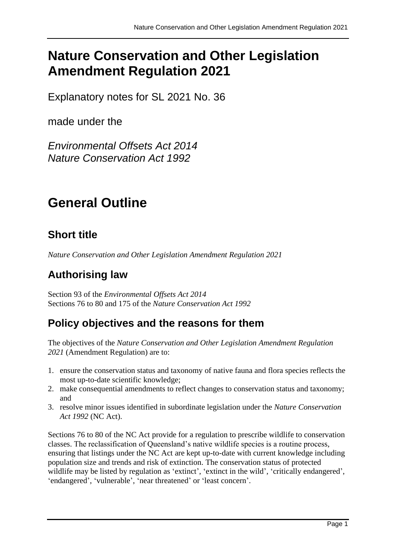# **Nature Conservation and Other Legislation Amendment Regulation 2021**

Explanatory notes for SL 2021 No. 36

made under the

*Environmental Offsets Act 2014 Nature Conservation Act 1992*

# **General Outline**

# **Short title**

*Nature Conservation and Other Legislation Amendment Regulation 2021*

# **Authorising law**

Section 93 of the *Environmental Offsets Act 2014* Sections 76 to 80 and 175 of the *Nature Conservation Act 1992*

# **Policy objectives and the reasons for them**

The objectives of the *Nature Conservation and Other Legislation Amendment Regulation 2021* (Amendment Regulation) are to:

- 1. ensure the conservation status and taxonomy of native fauna and flora species reflects the most up-to-date scientific knowledge;
- 2. make consequential amendments to reflect changes to conservation status and taxonomy; and
- 3. resolve minor issues identified in subordinate legislation under the *Nature Conservation Act 1992* (NC Act).

Sections 76 to 80 of the NC Act provide for a regulation to prescribe wildlife to conservation classes. The reclassification of Queensland's native wildlife species is a routine process, ensuring that listings under the NC Act are kept up-to-date with current knowledge including population size and trends and risk of extinction. The conservation status of protected wildlife may be listed by regulation as 'extinct', 'extinct in the wild', 'critically endangered', 'endangered', 'vulnerable', 'near threatened' or 'least concern'.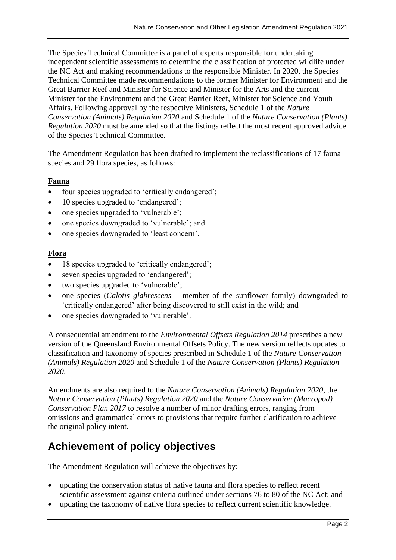The Species Technical Committee is a panel of experts responsible for undertaking independent scientific assessments to determine the classification of protected wildlife under the NC Act and making recommendations to the responsible Minister. In 2020, the Species Technical Committee made recommendations to the former Minister for Environment and the Great Barrier Reef and Minister for Science and Minister for the Arts and the current Minister for the Environment and the Great Barrier Reef, Minister for Science and Youth Affairs. Following approval by the respective Ministers, Schedule 1 of the *Nature Conservation (Animals) Regulation 2020* and Schedule 1 of the *Nature Conservation (Plants) Regulation 2020* must be amended so that the listings reflect the most recent approved advice of the Species Technical Committee.

The Amendment Regulation has been drafted to implement the reclassifications of 17 fauna species and 29 flora species, as follows:

#### **Fauna**

- four species upgraded to 'critically endangered';
- 10 species upgraded to 'endangered';
- one species upgraded to 'vulnerable';
- one species downgraded to 'vulnerable'; and
- one species downgraded to 'least concern'.

#### **Flora**

- 18 species upgraded to 'critically endangered';
- seven species upgraded to 'endangered';
- two species upgraded to 'vulnerable';
- one species (*Calotis glabrescens* member of the sunflower family) downgraded to 'critically endangered' after being discovered to still exist in the wild; and
- one species downgraded to 'vulnerable'.

A consequential amendment to the *Environmental Offsets Regulation 2014* prescribes a new version of the Queensland Environmental Offsets Policy. The new version reflects updates to classification and taxonomy of species prescribed in Schedule 1 of the *Nature Conservation (Animals) Regulation 2020* and Schedule 1 of the *Nature Conservation (Plants) Regulation 2020*.

Amendments are also required to the *Nature Conservation (Animals) Regulation 2020*, the *Nature Conservation (Plants) Regulation 2020* and the *Nature Conservation (Macropod) Conservation Plan 2017* to resolve a number of minor drafting errors, ranging from omissions and grammatical errors to provisions that require further clarification to achieve the original policy intent.

# **Achievement of policy objectives**

The Amendment Regulation will achieve the objectives by:

- updating the conservation status of native fauna and flora species to reflect recent scientific assessment against criteria outlined under sections 76 to 80 of the NC Act; and
- updating the taxonomy of native flora species to reflect current scientific knowledge.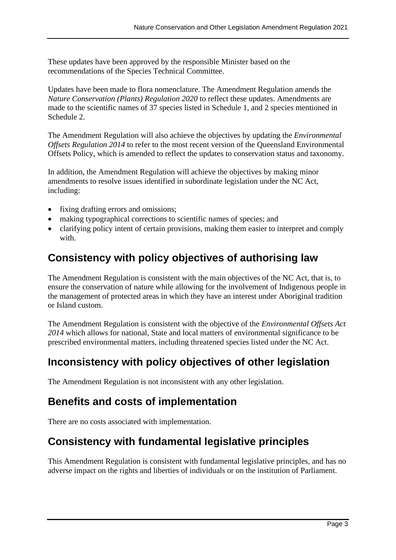These updates have been approved by the responsible Minister based on the recommendations of the Species Technical Committee.

Updates have been made to flora nomenclature. The Amendment Regulation amends the *Nature Conservation (Plants) Regulation 2020* to reflect these updates. Amendments are made to the scientific names of 37 species listed in Schedule 1, and 2 species mentioned in Schedule 2.

The Amendment Regulation will also achieve the objectives by updating the *Environmental Offsets Regulation 2014* to refer to the most recent version of the Queensland Environmental Offsets Policy, which is amended to reflect the updates to conservation status and taxonomy.

In addition, the Amendment Regulation will achieve the objectives by making minor amendments to resolve issues identified in subordinate legislation under the NC Act, including:

- fixing drafting errors and omissions;
- making typographical corrections to scientific names of species; and
- clarifying policy intent of certain provisions, making them easier to interpret and comply with

### **Consistency with policy objectives of authorising law**

The Amendment Regulation is consistent with the main objectives of the NC Act, that is, to ensure the conservation of nature while allowing for the involvement of Indigenous people in the management of protected areas in which they have an interest under Aboriginal tradition or Island custom.

The Amendment Regulation is consistent with the objective of the *Environmental Offsets Act 2014* which allows for national, State and local matters of environmental significance to be prescribed environmental matters, including threatened species listed under the NC Act.

### **Inconsistency with policy objectives of other legislation**

The Amendment Regulation is not inconsistent with any other legislation.

#### **Benefits and costs of implementation**

There are no costs associated with implementation.

### **Consistency with fundamental legislative principles**

This Amendment Regulation is consistent with fundamental legislative principles, and has no adverse impact on the rights and liberties of individuals or on the institution of Parliament.